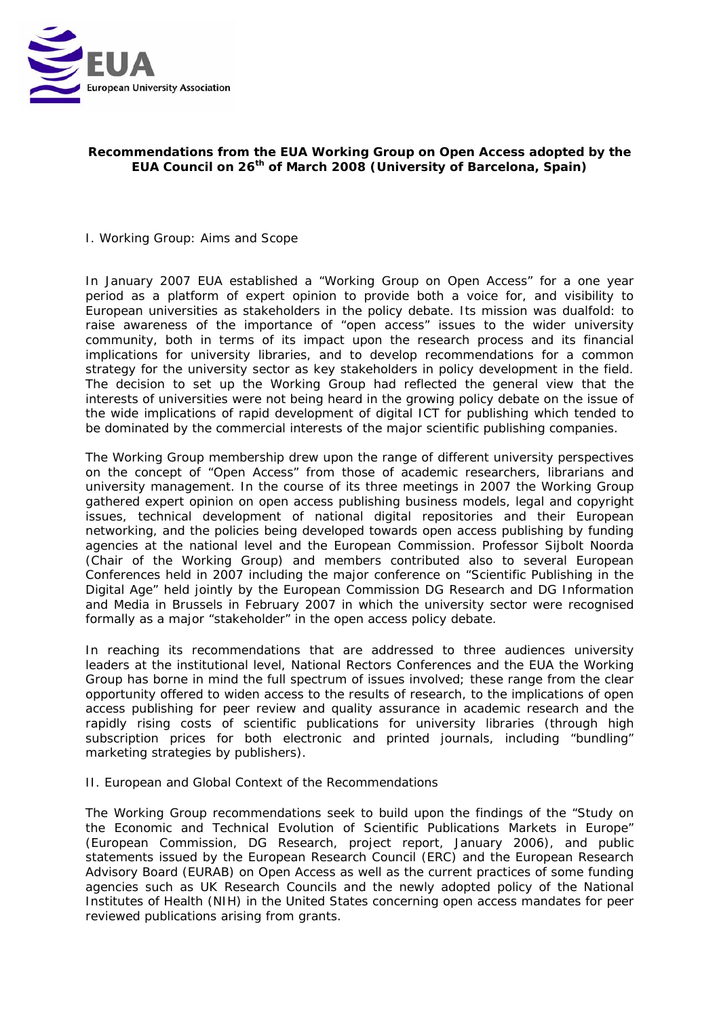

## **Recommendations from the EUA Working Group on Open Access adopted by the EUA Council on 26th of March 2008 (University of Barcelona, Spain)**

#### I. Working Group: Aims and Scope

In January 2007 EUA established a "Working Group on Open Access" for a one year period as a platform of expert opinion to provide both a voice for, and visibility to European universities as stakeholders in the policy debate. Its mission was dualfold: to raise awareness of the importance of "open access" issues to the wider university community, both in terms of its impact upon the research process and its financial implications for university libraries, and to develop recommendations for a common strategy for the university sector as key stakeholders in policy development in the field. The decision to set up the Working Group had reflected the general view that the interests of universities were not being heard in the growing policy debate on the issue of the wide implications of rapid development of digital ICT for publishing which tended to be dominated by the commercial interests of the major scientific publishing companies.

The Working Group membership drew upon the range of different university perspectives on the concept of "Open Access" from those of academic researchers, librarians and university management. In the course of its three meetings in 2007 the Working Group gathered expert opinion on open access publishing business models, legal and copyright issues, technical development of national digital repositories and their European networking, and the policies being developed towards open access publishing by funding agencies at the national level and the European Commission. Professor Sijbolt Noorda (Chair of the Working Group) and members contributed also to several European Conferences held in 2007 including the major conference on "Scientific Publishing in the Digital Age" held jointly by the European Commission DG Research and DG Information and Media in Brussels in February 2007 in which the university sector were recognised formally as a major "stakeholder" in the open access policy debate.

In reaching its recommendations that are addressed to three audiences university leaders at the institutional level, National Rectors Conferences and the EUA the Working Group has borne in mind the full spectrum of issues involved; these range from the clear opportunity offered to widen access to the results of research, to the implications of open access publishing for peer review and quality assurance in academic research and the rapidly rising costs of scientific publications for university libraries (through high subscription prices for both electronic and printed journals, including "bundling" marketing strategies by publishers).

#### II. European and Global Context of the Recommendations

The Working Group recommendations seek to build upon the findings of the "Study on the Economic and Technical Evolution of Scientific Publications Markets in Europe" (European Commission, DG Research, project report, January 2006), and public statements issued by the European Research Council (ERC) and the European Research Advisory Board (EURAB) on Open Access as well as the current practices of some funding agencies such as UK Research Councils and the newly adopted policy of the National Institutes of Health (NIH) in the United States concerning open access mandates for peer reviewed publications arising from grants.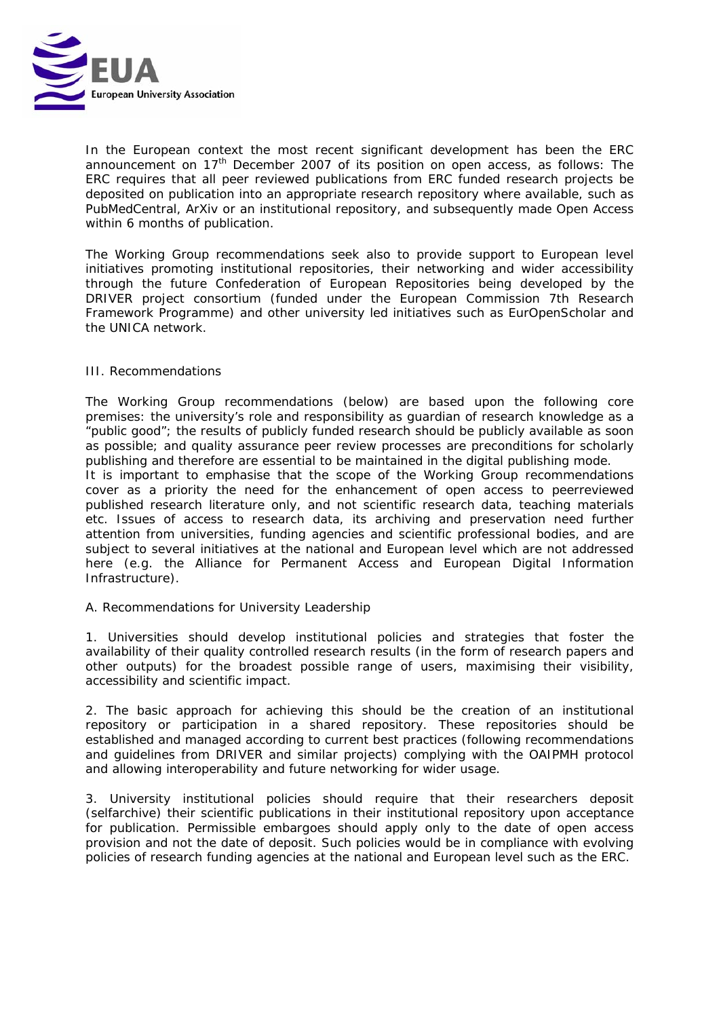

In the European context the most recent significant development has been the ERC announcement on  $17<sup>th</sup>$  December 2007 of its position on open access, as follows: The ERC requires that all peer reviewed publications from ERC funded research projects be deposited on publication into an appropriate research repository where available, such as PubMedCentral, ArXiv or an institutional repository, and subsequently made Open Access within 6 months of publication.

The Working Group recommendations seek also to provide support to European level initiatives promoting institutional repositories, their networking and wider accessibility through the future Confederation of European Repositories being developed by the DRIVER project consortium (funded under the European Commission 7th Research Framework Programme) and other university led initiatives such as EurOpenScholar and the UNICA network.

### III. Recommendations

The Working Group recommendations (below) are based upon the following core premises: the university's role and responsibility as guardian of research knowledge as a "public good"; the results of publicly funded research should be publicly available as soon as possible; and quality assurance peer review processes are preconditions for scholarly publishing and therefore are essential to be maintained in the digital publishing mode.

It is important to emphasise that the scope of the Working Group recommendations cover as a priority the need for the enhancement of open access to peerreviewed published research literature only, and not scientific research data, teaching materials etc. Issues of access to research data, its archiving and preservation need further attention from universities, funding agencies and scientific professional bodies, and are subject to several initiatives at the national and European level which are not addressed here (e.g. the Alliance for Permanent Access and European Digital Information Infrastructure).

A. Recommendations for University Leadership

1. Universities should develop institutional policies and strategies that foster the availability of their quality controlled research results (in the form of research papers and other outputs) for the broadest possible range of users, maximising their visibility, accessibility and scientific impact.

2. The basic approach for achieving this should be the creation of an institutional repository or participation in a shared repository. These repositories should be established and managed according to current best practices (following recommendations and guidelines from DRIVER and similar projects) complying with the OAIPMH protocol and allowing interoperability and future networking for wider usage.

3. University institutional policies should require that their researchers deposit (selfarchive) their scientific publications in their institutional repository upon acceptance for publication. Permissible embargoes should apply only to the date of open access provision and not the date of deposit. Such policies would be in compliance with evolving policies of research funding agencies at the national and European level such as the ERC.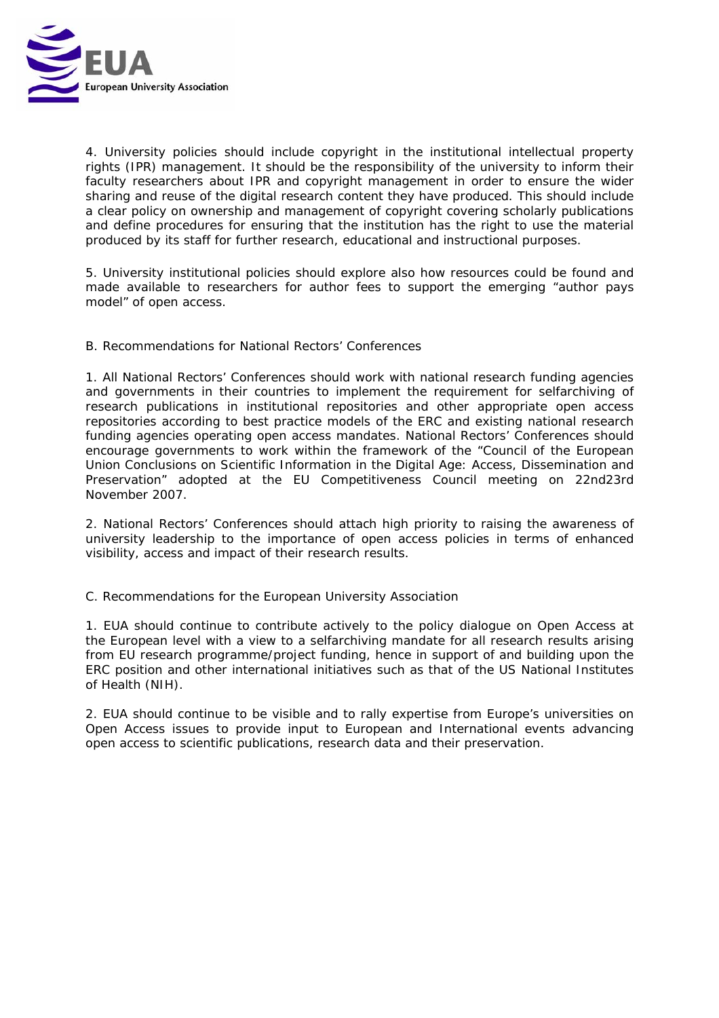

4. University policies should include copyright in the institutional intellectual property rights (IPR) management. It should be the responsibility of the university to inform their faculty researchers about IPR and copyright management in order to ensure the wider sharing and reuse of the digital research content they have produced. This should include a clear policy on ownership and management of copyright covering scholarly publications and define procedures for ensuring that the institution has the right to use the material produced by its staff for further research, educational and instructional purposes.

5. University institutional policies should explore also how resources could be found and made available to researchers for author fees to support the emerging "author pays model" of open access.

B. Recommendations for National Rectors' Conferences

1. All National Rectors' Conferences should work with national research funding agencies and governments in their countries to implement the requirement for selfarchiving of research publications in institutional repositories and other appropriate open access repositories according to best practice models of the ERC and existing national research funding agencies operating open access mandates. National Rectors' Conferences should encourage governments to work within the framework of the "Council of the European Union Conclusions on Scientific Information in the Digital Age: Access, Dissemination and Preservation" adopted at the EU Competitiveness Council meeting on 22nd23rd November 2007.

2. National Rectors' Conferences should attach high priority to raising the awareness of university leadership to the importance of open access policies in terms of enhanced visibility, access and impact of their research results.

C. Recommendations for the European University Association

1. EUA should continue to contribute actively to the policy dialogue on Open Access at the European level with a view to a selfarchiving mandate for all research results arising from EU research programme/project funding, hence in support of and building upon the ERC position and other international initiatives such as that of the US National Institutes of Health (NIH).

2. EUA should continue to be visible and to rally expertise from Europe's universities on Open Access issues to provide input to European and International events advancing open access to scientific publications, research data and their preservation.